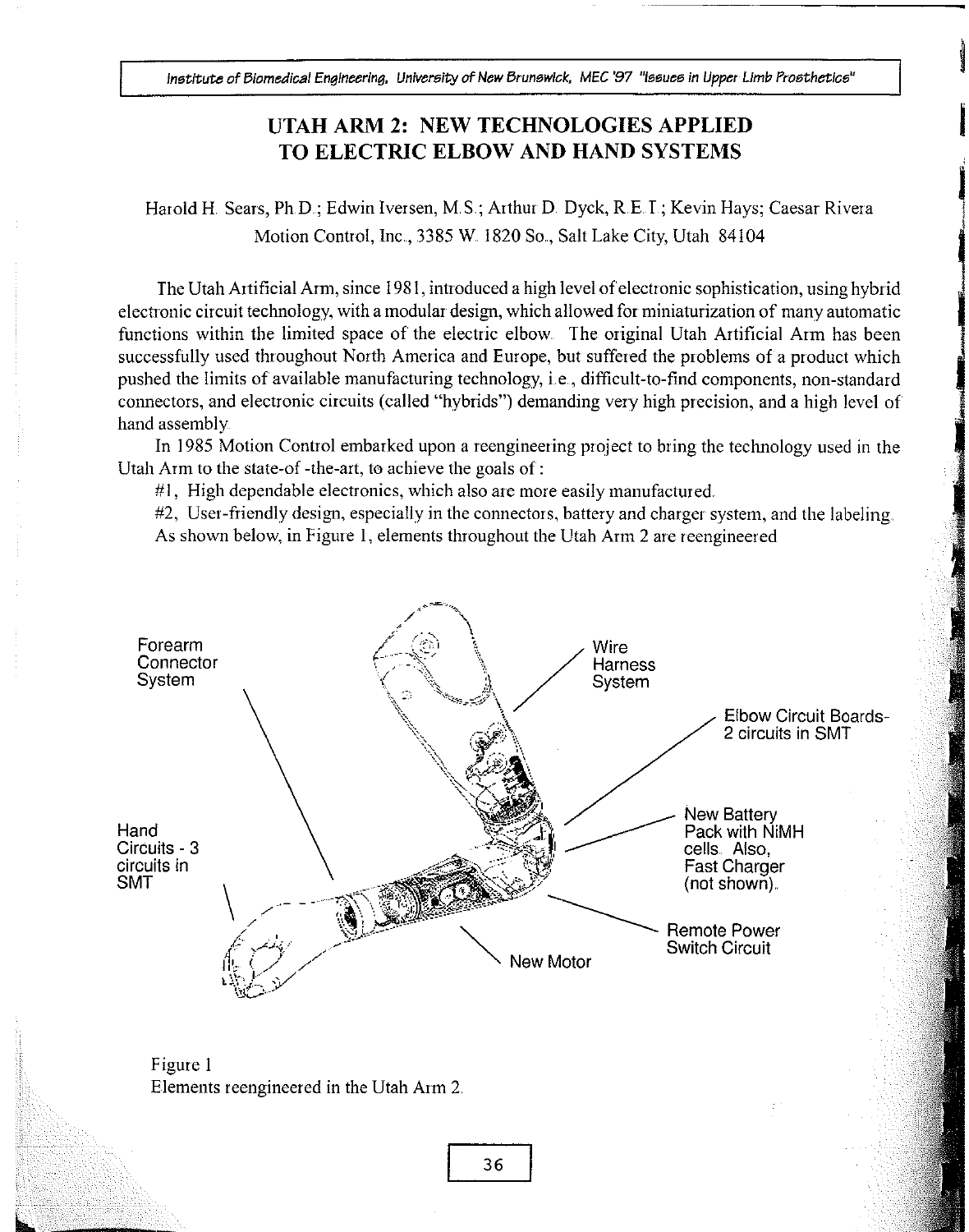institute of Biomedical Engineering, University of New Brunswick, MEC '97 "Issues in Upper Limb Prosthetics"

## UTAH ARNI 2: NEW TECHNOLOGIES APPLIED TO ELECTRIC ELBOW AND HAND SYSTEMS

Harold H. Sears, Ph.D.; Edwin Iversen, M.S.; Arthur D. Dyck, R.E. I.; Kevin Hays; Caesar Rivera Motion Control, Inc., 3385 W. 1820 So., Salt Lake City, Utah 84104

The Utah Artificial Arm, since 1981, introduced a high level of electronic sophistication, using hybrid electronic circuit technology, with a modular design, which allowed for miniaturization of many automatic functions within the limited space of the electric elbow. The original Utah Artificial Arm has been successfully used throughout North America and Europe, but suffered the problems of a product which pushed the limits of available manufacturing technology, i.e., difficult-to-find components, non-standard connectors, and electronic circuits (called "hybrids") demanding very high precision, and a high level of' hand assembly.

In 1985 Motion Control embarked upon a reengineering project to bring the technology used in the Utah Arm to the state-of -the-art, to achieve the goals of :

 $#1$ , High dependable electronics, which also are more easily manufactured.

#2, User-friendly design, especially in the connectors, battery and charger system, and the labeling. As shown below, in Figure 1, elements throughout the Utah Arm 2 are reengineered



Figure 1 Elements reengineered in the Utah Arm 2.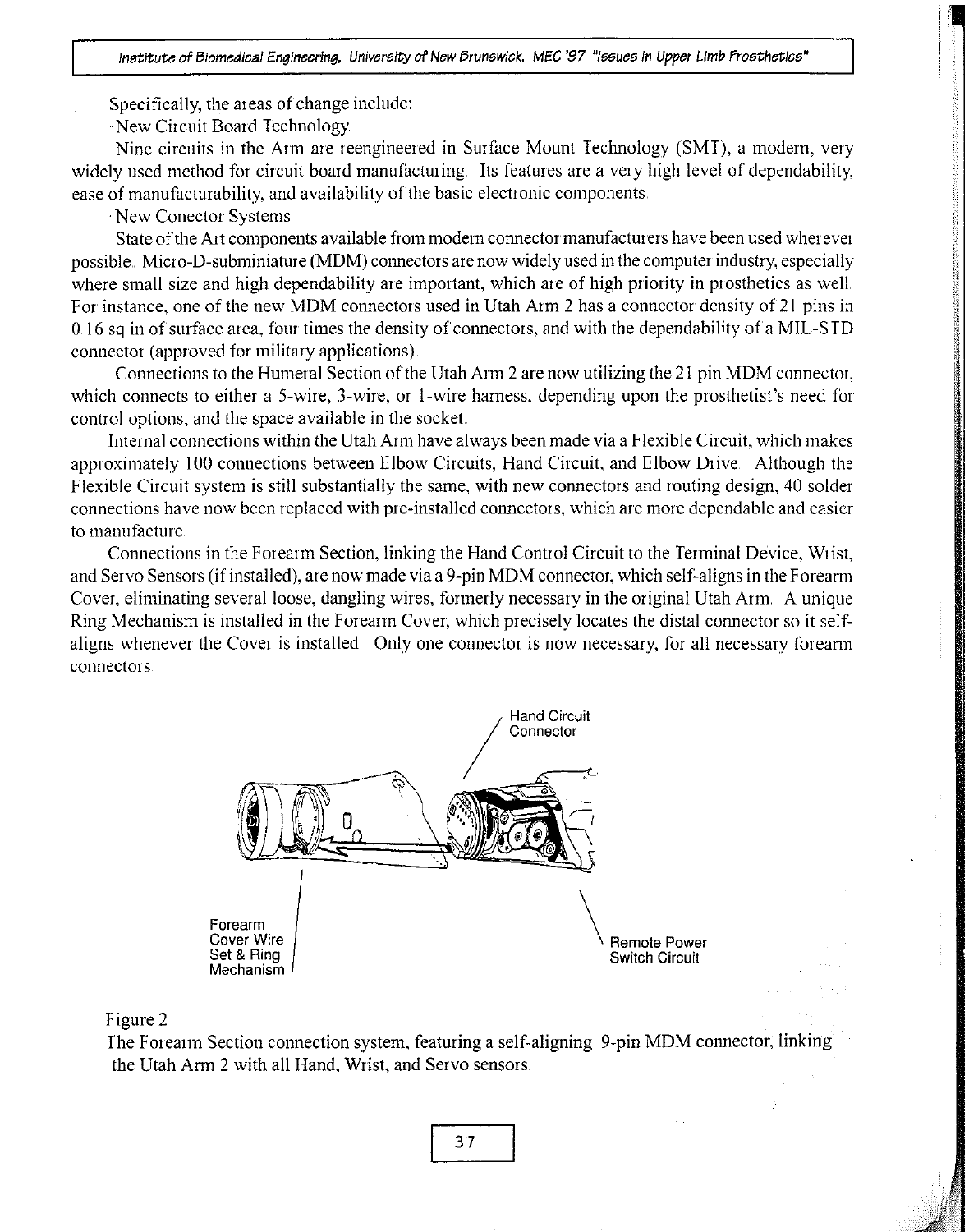Specifically, the areas of change include:

New Circuit Board Technology

Nine circuits in the Arm are reengineered in Surface Mount Technology (SMT), a modern, very widely used method for circuit board manufacturing. Its features are a very high level of dependability, ease of manufacturability, and availability of the basic electronic components

New Conector Systems

State of the Art components available from modern connector manufacturers have been used wherever possible., Micro-D-subminiatare (MDM) connectors are now widely used in the computer industry, especially where small size and high dependability are important, which are of high priority in prosthetics as well. For instance, one of the new MDM connectors used in Utah Arm 2 has a connector density of 21 pins in 0 16 sq in of surface area, four times the density of connectors, and with the dependability of a MIL-S TD connector (approved for military applications).

Connections to the Humeral Section of the Utah Arm 2 are now utilizing the 21 pin MDM connector, which connects to either a 5-wire, 3-wire, or 1-wire harness, depending upon the prosthetist's need for control options, and the space available in the socket.

Internal connections within the Utah Arm have always been made via a Flexible Circuit, which makes approximately 100 connections between Elbow Circuits, Hand Circuit, and Elbow Drive. Although the Flexible Circuit system is still substantially the same, with new connectors and routing design, 40 solder connections have now been replaced with pre-installed connectors, which are more dependable and easier. to manufacture.

Connections in the Forearm Section, linking the Hand Control Circuit to the Terminal DeVice, Wrist, and Servo Sensors (if installed), are now made via a 9-pin MDM connector, which self-aligns in the Forearm Cover, eliminating several loose, dangling wires, formerly necessary in the original Utah Arm, A unique Ring Mechanism is installed in the Forearm Cover, which precisely locates the distal connector so it selfaligns whenever the Cover is installed Only one connector is now necessary, for all necessary forearm connector s





The Forearm Section connection system, featuring a self-aligning 9-pin MDM connector, linking the Utah Arm 2 with all Hand, Wrist, and Servo sensors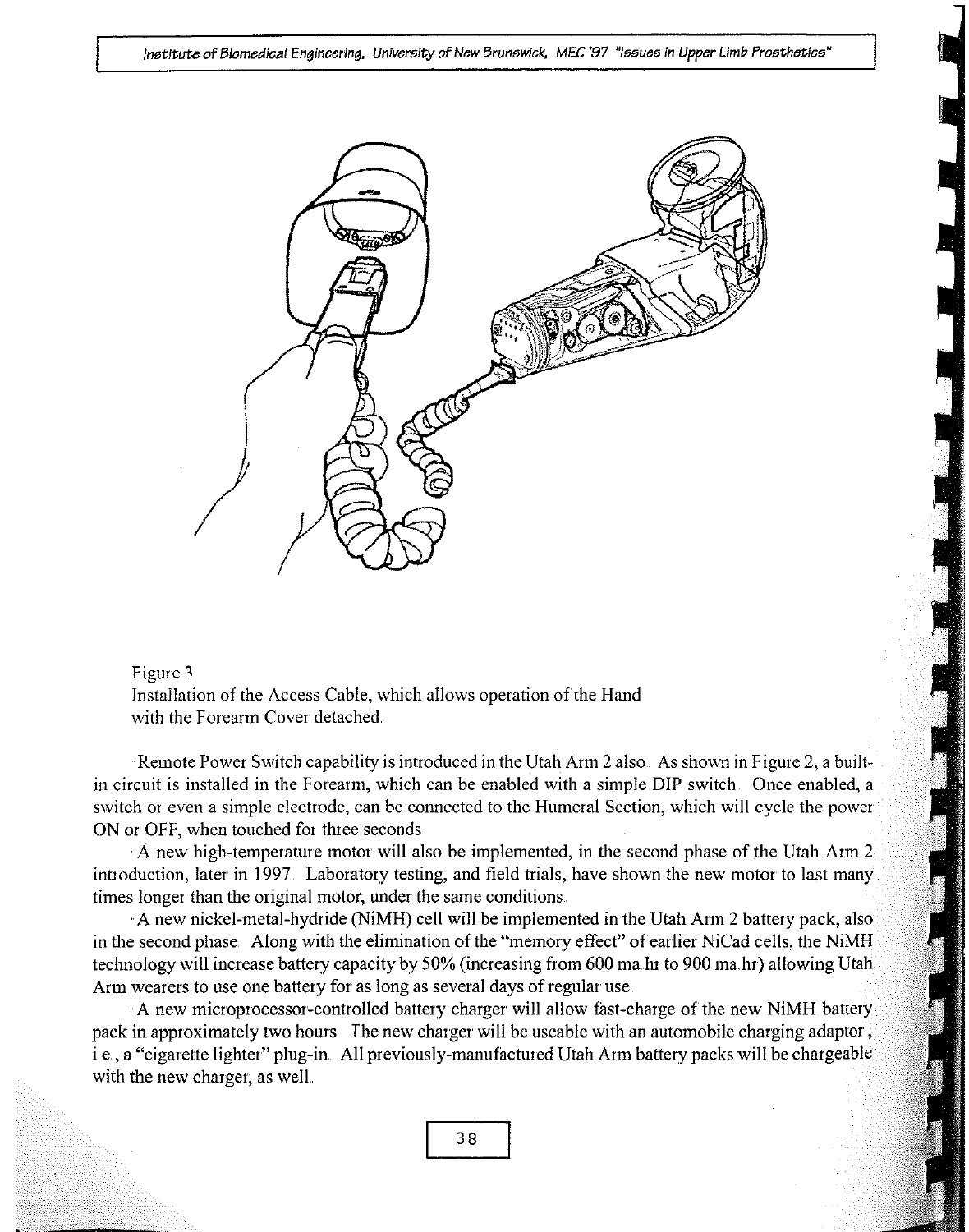institute of Biomedical Engineering. University of New Brunswick, MEC '97 "Issues in Upper Limb Prosthetics"





Remote Power Switch capability is introduced in the Utah Arm 2 also. As shown in Figure 2, a builtin circuit is installed in the Forearm, which can be enabled with a simple DIP switch. Once enabled, a switch or even a simple electrode, can be connected to the Humeral Section, which will cycle the power ON or OFF, when touched for three seconds

A new high-temperature motor will also be implemented, in the second phase of the Utah Aim 2 introduction, later in 1997 Laboratory testing, and field trials, have shown the new motor to last many times longer than the original motor, under the same conditions

A new nickel-metal-hydride (NiMH) cell will be implemented in the Utah Arm 2 battery pack, also in the second phase Along with the elimination of the "memory effect" of earlier NiCad cells, the NiMH technology will increase battery capacity by 50% (increasing from 600 ma. hr to 900 ma, hr) allowing Utah Arm wearers to use one battery for as long as several days of regular use

A new microprocessor-controlled battery charger will allow fast-charge of the new NiMH battery pack in approximately two hours. The new charger will be useable with an automobile charging adaptor, i.e., a "cigarette lighter" plug-in. All previously-manufactured Utah Arm battery packs will be chargeable. with the new charger, as well.